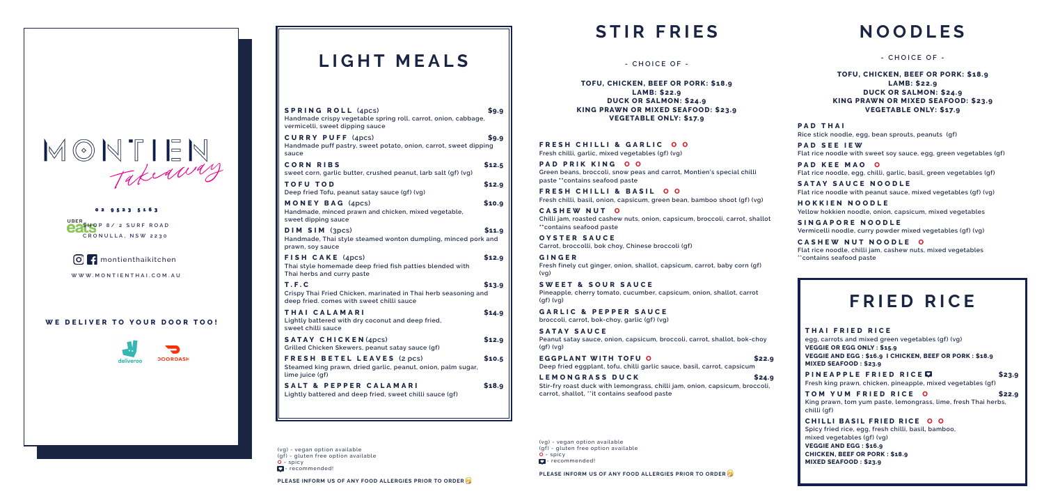### **WE DELIVER TO YOUR DOOR TOO!**



# $MONTLEN$

02 9523 5163 **SHOP 8/ 2 SURF ROAD CRONULLA, NSW 2230**

**O**: montienthaikitchen

**WWW.MONTIENTHAI.COM.AU**

# **STIR FRIES**

**FRESH CHILLI & GARLIC O O Fresh chilli, garlic, mixed vegetables (gf) (vg)**

**PAD PRIK KING O O Green beans, broccoli, snow peas and carrot, Montien's special chilli paste \*\*contains seafood paste**

**FRESH CHILLI & BASIL O O Fresh chilli, basil, onion, capsicum, green bean, bamboo shoot (gf) (vg)**

**CASHEW NUT O Chilli jam, roasted cashew nuts, onion, capsicum, broccoli, carrot, shallot \*\*contains seafood paste** 

**OYSTER SAUCE Carrot, broccolli, bok choy, Chinese broccoli (gf)**

**GINGER Fresh finely cut ginger, onion, shallot, capsicum, carrot, baby corn (gf) (vg)**

**SWEET & SOUR SAUCE Pineapple, cherry tomato, cucumber, capsicum, onion, shallot, carrot (gf) (vg)**

> **PINEAPPLE FRIED RICE Fresh king prawn, chicken, pineapple, mixed vegetables (gf)**

**GARLIC & PEPPER SAUCE broccoli, carrot, bok-choy, garlic (gf) (vg)**

**SATAY SAUCE Peanut satay sauce, onion, capsicum, broccoli, carrot, shallot, bok-choy (gf) (vg)**

**EGGPLANT WITH TOFU O \$22.9 Deep fried eggplant, tofu, chilli garlic sauce, basil, carrot, capsicum**

**LEMONGRASS DUCK \$24.9 Stir-fry roast duck with lemongrass, chilli jam, onion, capsicum, broccoli, carrot, shallot, \*\*it contains seafood paste** 

**- CHOICE OF -**

**TOFU, CHICKEN, BEEF OR PORK: \$18.9 LAMB: \$22.9 DUCK OR SALMON: \$24.9 KING PRAWN OR MIXED SEAFOOD: \$23.9 VEGETABLE ONLY: \$17.9**

(vg) - vegan option available (gf) - gluten free option available **O** - spicy  $\Box$  - recommended!

**THAI FRIED RICE egg, carrots and mixed green vegetables (gf) (vg) VEGGIE OR EGG ONLY : \$15.9 VEGGIE AND EGG : \$16.9 I CHICKEN, BEEF OR PORK : \$18.9 MIXED SEAFOOD : \$23.9** 

**TOM YUM FRIED RICE O \$22.9 King prawn, tom yum paste, lemongrass, lime, fresh Thai herbs, chilli (gf)** 

**CHILLI BASIL FRIED RICE O O Spicy fried rice, egg, fresh chilli, basil, bamboo, mixed vegetables (gf) (vg) VEGGIE AND EGG : \$16.9**

**CHICKEN, BEEF OR PORK : \$18.9 MIXED SEAFOOD : \$23.9** 

# **FRIED RICE**

# **NOODLES**

**PAD THAI Rice stick noodle, egg, bean sprouts, peanuts (gf)**

(vg) - vegan option available (gf) - gluten free option available **O** - spicy **D** - recommended!

**PAD SEE IEW Flat rice noodle with sweet soy sauce, egg, green vegetables (gf)** 

**PAD KEE MAO O Flat rice noodle, egg, chilli, garlic, basil, green vegetables (gf)**

**SATAY SAUCE NOODLE Flat rice noodle with peanut sauce, mixed vegetables (gf) (vg)**

**HOKKIEN NOODLE Yellow hokkien noodle, onion, capsicum, mixed vegetables**

**SINGAPORE NOODLE Vermicelli noodle, curry powder mixed vegetables (gf) (vg)**

**CASHEW NUT NOODLE O Flat rice noodle, chilli jam, cashew nuts, mixed vegetables \*\*contains seafood paste** 

### **- CHOICE OF -**

**TOFU, CHICKEN, BEEF OR PORK: \$18.9 LAMB: \$22.9 DUCK OR SALMON: \$24.9 KING PRAWN OR MIXED SEAFOOD: \$23.9 VEGETABLE ONLY: \$17.9**

**PLEASE INFORM US OF ANY FOOD ALLERGIES PRIOR TO ORDER** 

# **LIGHT MEALS**

| <b>SPRING ROLL (4pcs)</b><br>Handmade crispy vegetable spring roll, carrot, onion, cabbage,<br>vermicelli, sweet dipping sauce | \$9.9  |
|--------------------------------------------------------------------------------------------------------------------------------|--------|
| <b>CURRY PUFF (4pcs)</b><br>Handmade puff pastry, sweet potato, onion, carrot, sweet dipping<br>sauce                          | \$9.9  |
| <b>CORN RIBS</b><br>sweet corn, garlic butter, crushed peanut, larb salt (gf) (vg)                                             | \$12.5 |
| <b>TOFU TOD</b><br>Deep fried Tofu, peanut satay sauce (qf) (vq)                                                               | \$12.9 |
| MONEY BAG (4pcs)<br>Handmade, minced prawn and chicken, mixed vegetable,<br>sweet dipping sauce                                | \$10.9 |
| DIM SIM (3pcs)<br>Handmade, Thai style steamed wonton dumpling, minced pork and<br>prawn, soy sauce                            | \$11.9 |
| FISH CAKE (4pcs)<br>Thai style homemade deep fried fish patties blended with<br>Thai herbs and curry paste                     | \$12.9 |
| T.F.C<br>Crispy Thai Fried Chicken, marinated in Thai herb seasoning and<br>deep fried, comes with sweet chilli sauce          | \$13.9 |
| THAI CALAMARI<br>Lightly battered with dry coconut and deep fried,<br>sweet chilli sauce                                       | \$14.9 |
| <b>SATAY CHICKEN</b> (4pcs)<br>Grilled Chicken Skewers, peanut satay sauce (gf)                                                | \$12.9 |
| <b>FRESH BETEL LEAVES (2 pcs)</b><br>Steamed king prawn, dried garlic, peanut, onion, palm sugar,<br>lime juice (qf)           | \$10.5 |
| <b>SALT &amp; PEPPER CALAMARI</b><br>Lightly battered and deep fried, sweet chilli sauce (gf)                                  | \$18.9 |

**PLEASE INFORM US OF ANY FOOD ALLERGIES PRIOR TO ORDER**